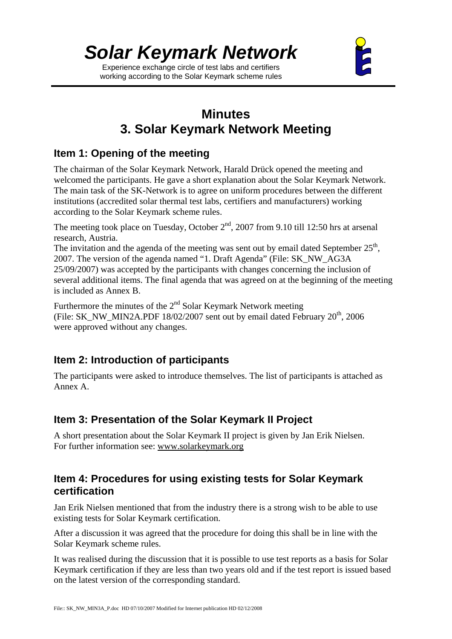Experience exchange circle of test labs and certifiers working according to the Solar Keymark scheme rules



# **Minutes 3. Solar Keymark Network Meeting**

# **Item 1: Opening of the meeting**

The chairman of the Solar Keymark Network, Harald Drück opened the meeting and welcomed the participants. He gave a short explanation about the Solar Keymark Network. The main task of the SK-Network is to agree on uniform procedures between the different institutions (accredited solar thermal test labs, certifiers and manufacturers) working according to the Solar Keymark scheme rules.

The meeting took place on Tuesday, October  $2<sup>nd</sup>$ , 2007 from 9.10 till 12:50 hrs at arsenal research, Austria.

The invitation and the agenda of the meeting was sent out by email dated September  $25<sup>th</sup>$ , 2007. The version of the agenda named "1. Draft Agenda" (File: SK\_NW\_AG3A 25/09/2007) was accepted by the participants with changes concerning the inclusion of several additional items. The final agenda that was agreed on at the beginning of the meeting is included as Annex B.

Furthermore the minutes of the  $2<sup>nd</sup>$  Solar Keymark Network meeting (File: SK\_NW\_MIN2A.PDF 18/02/2007 sent out by email dated February  $20^{th}$ , 2006 were approved without any changes.

# **Item 2: Introduction of participants**

The participants were asked to introduce themselves. The list of participants is attached as Annex A.

# **Item 3: Presentation of the Solar Keymark II Project**

A short presentation about the Solar Keymark II project is given by Jan Erik Nielsen. For further information see: www.solarkeymark.org

# **Item 4: Procedures for using existing tests for Solar Keymark certification**

Jan Erik Nielsen mentioned that from the industry there is a strong wish to be able to use existing tests for Solar Keymark certification.

After a discussion it was agreed that the procedure for doing this shall be in line with the Solar Keymark scheme rules.

It was realised during the discussion that it is possible to use test reports as a basis for Solar Keymark certification if they are less than two years old and if the test report is issued based on the latest version of the corresponding standard.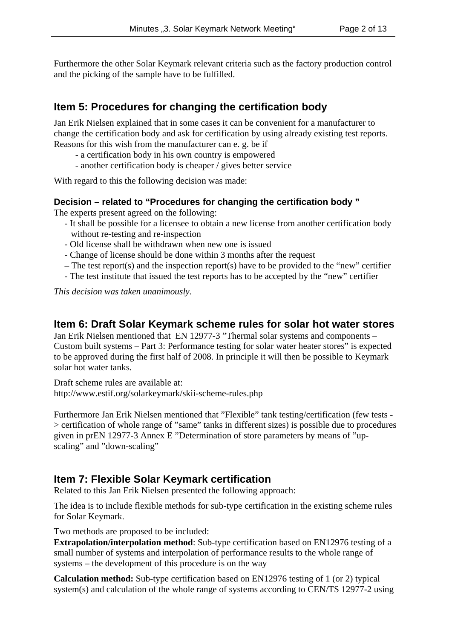Furthermore the other Solar Keymark relevant criteria such as the factory production control and the picking of the sample have to be fulfilled.

# **Item 5: Procedures for changing the certification body**

Jan Erik Nielsen explained that in some cases it can be convenient for a manufacturer to change the certification body and ask for certification by using already existing test reports. Reasons for this wish from the manufacturer can e. g. be if

- a certification body in his own country is empowered

- another certification body is cheaper / gives better service

With regard to this the following decision was made:

#### **Decision – related to "Procedures for changing the certification body "**

The experts present agreed on the following:

- It shall be possible for a licensee to obtain a new license from another certification body without re-testing and re-inspection
- Old license shall be withdrawn when new one is issued
- Change of license should be done within 3 months after the request
- The test report(s) and the inspection report(s) have to be provided to the "new" certifier
- The test institute that issued the test reports has to be accepted by the "new" certifier

*This decision was taken unanimously.*

#### **Item 6: Draft Solar Keymark scheme rules for solar hot water stores**

Jan Erik Nielsen mentioned that EN 12977-3 "Thermal solar systems and components – Custom built systems – Part 3: Performance testing for solar water heater stores" is expected to be approved during the first half of 2008. In principle it will then be possible to Keymark solar hot water tanks.

Draft scheme rules are available at: http://www.estif.org/solarkeymark/skii-scheme-rules.php

Furthermore Jan Erik Nielsen mentioned that "Flexible" tank testing/certification (few tests - > certification of whole range of "same" tanks in different sizes) is possible due to procedures given in prEN 12977-3 Annex E "Determination of store parameters by means of "upscaling" and "down-scaling"

### **Item 7: Flexible Solar Keymark certification**

Related to this Jan Erik Nielsen presented the following approach:

The idea is to include flexible methods for sub-type certification in the existing scheme rules for Solar Keymark.

Two methods are proposed to be included:

**Extrapolation/interpolation method**: Sub-type certification based on EN12976 testing of a small number of systems and interpolation of performance results to the whole range of systems – the development of this procedure is on the way

**Calculation method:** Sub-type certification based on EN12976 testing of 1 (or 2) typical system(s) and calculation of the whole range of systems according to CEN/TS 12977-2 using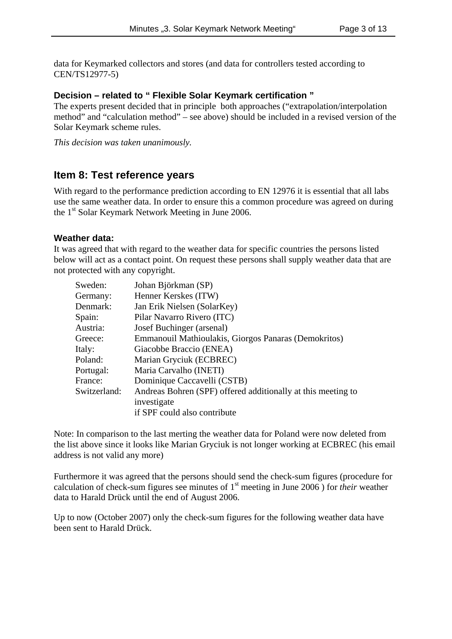data for Keymarked collectors and stores (and data for controllers tested according to CEN/TS12977-5)

#### **Decision – related to " Flexible Solar Keymark certification "**

The experts present decided that in principle both approaches ("extrapolation/interpolation method" and "calculation method" – see above) should be included in a revised version of the Solar Keymark scheme rules.

*This decision was taken unanimously.*

## **Item 8: Test reference years**

With regard to the performance prediction according to EN 12976 it is essential that all labs use the same weather data. In order to ensure this a common procedure was agreed on during the 1<sup>st</sup> Solar Keymark Network Meeting in June 2006.

#### **Weather data:**

It was agreed that with regard to the weather data for specific countries the persons listed below will act as a contact point. On request these persons shall supply weather data that are not protected with any copyright.

| Sweden:      | Johan Björkman (SP)                                          |
|--------------|--------------------------------------------------------------|
| Germany:     | Henner Kerskes (ITW)                                         |
| Denmark:     | Jan Erik Nielsen (SolarKey)                                  |
| Spain:       | Pilar Navarro Rivero (ITC)                                   |
| Austria:     | Josef Buchinger (arsenal)                                    |
| Greece:      | Emmanouil Mathioulakis, Giorgos Panaras (Demokritos)         |
| Italy:       | Giacobbe Braccio (ENEA)                                      |
| Poland:      | Marian Gryciuk (ECBREC)                                      |
| Portugal:    | Maria Carvalho (INETI)                                       |
| France:      | Dominique Caccavelli (CSTB)                                  |
| Switzerland: | Andreas Bohren (SPF) offered additionally at this meeting to |
|              | investigate                                                  |
|              | if SPF could also contribute                                 |

Note: In comparison to the last merting the weather data for Poland were now deleted from the list above since it looks like Marian Gryciuk is not longer working at ECBREC (his email address is not valid any more)

Furthermore it was agreed that the persons should send the check-sum figures (procedure for calculation of check-sum figures see minutes of 1st meeting in June 2006 ) for *their* weather data to Harald Drück until the end of August 2006.

Up to now (October 2007) only the check-sum figures for the following weather data have been sent to Harald Drück.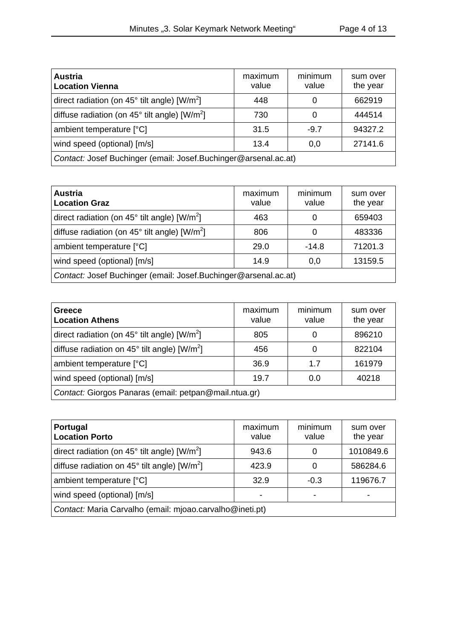| <b>Austria</b><br><b>Location Vienna</b>                           | maximum<br>value | minimum<br>value | sum over<br>the year |
|--------------------------------------------------------------------|------------------|------------------|----------------------|
| direct radiation (on $45^{\circ}$ tilt angle) [W/m <sup>2</sup> ]  | 448              |                  | 662919               |
| diffuse radiation (on $45^{\circ}$ tilt angle) [W/m <sup>2</sup> ] | 730              |                  | 444514               |
| ambient temperature [°C]                                           | 31.5             | $-9.7$           | 94327.2              |
| wind speed (optional) [m/s]                                        | 13.4             | 0,0              | 27141.6              |
| Contact: Josef Buchinger (email: Josef.Buchinger@arsenal.ac.at)    |                  |                  |                      |

| <b>Austria</b><br><b>Location Graz</b>                             | maximum<br>value | minimum<br>value | sum over<br>the year |
|--------------------------------------------------------------------|------------------|------------------|----------------------|
| direct radiation (on $45^{\circ}$ tilt angle) [W/m <sup>2</sup> ]  | 463              |                  | 659403               |
| diffuse radiation (on $45^{\circ}$ tilt angle) [W/m <sup>2</sup> ] | 806              |                  | 483336               |
| ambient temperature [°C]                                           | 29.0             | $-14.8$          | 71201.3              |
| wind speed (optional) [m/s]                                        | 14.9             | 0,0              | 13159.5              |
| Contact: Josef Buchinger (email: Josef.Buchinger@arsenal.ac.at)    |                  |                  |                      |

| Greece<br><b>Location Athens</b>                                  | maximum<br>value | minimum<br>value | sum over<br>the year |
|-------------------------------------------------------------------|------------------|------------------|----------------------|
| direct radiation (on $45^{\circ}$ tilt angle) [W/m <sup>2</sup> ] | 805              |                  | 896210               |
| diffuse radiation on $45^{\circ}$ tilt angle) [W/m <sup>2</sup> ] | 456              |                  | 822104               |
| ambient temperature [°C]                                          | 36.9             | 1.7              | 161979               |
| wind speed (optional) [m/s]                                       | 19.7             | 0.0              | 40218                |
| Contact: Giorgos Panaras (email: petpan@mail.ntua.gr)             |                  |                  |                      |

| Portugal<br><b>Location Porto</b>                                 | maximum<br>value | minimum<br>value | sum over<br>the year |
|-------------------------------------------------------------------|------------------|------------------|----------------------|
| direct radiation (on $45^{\circ}$ tilt angle) [W/m <sup>2</sup> ] | 943.6            |                  | 1010849.6            |
| diffuse radiation on $45^{\circ}$ tilt angle) [W/m <sup>2</sup> ] | 423.9            |                  | 586284.6             |
| ambient temperature [°C]                                          | 32.9             | $-0.3$           | 119676.7             |
| wind speed (optional) [m/s]                                       |                  |                  |                      |
| Contact: Maria Carvalho (email: mjoao.carvalho@ineti.pt)          |                  |                  |                      |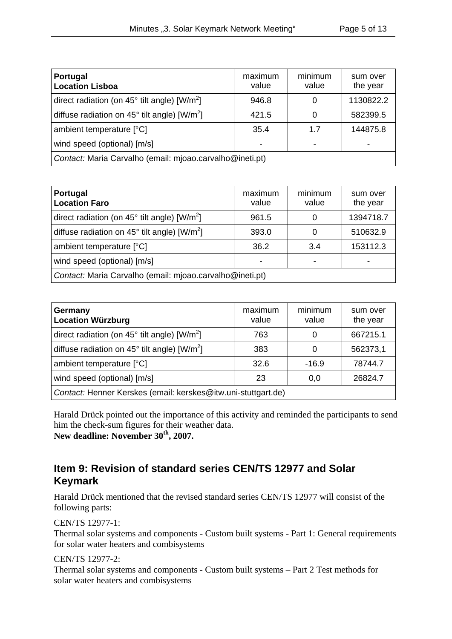| Portugal<br><b>Location Lisboa</b>                                 | maximum<br>value | minimum<br>value | sum over<br>the year |
|--------------------------------------------------------------------|------------------|------------------|----------------------|
| direct radiation (on $45^{\circ}$ tilt angle) [W/m <sup>2</sup> ]  | 946.8            |                  | 1130822.2            |
| diffuse radiation on 45 $^{\circ}$ tilt angle) [W/m <sup>2</sup> ] | 421.5            |                  | 582399.5             |
| ambient temperature [°C]                                           | 35.4             | 1.7              | 144875.8             |
| wind speed (optional) [m/s]                                        |                  |                  |                      |
| Contact: Maria Carvalho (email: mjoao.carvalho@ineti.pt)           |                  |                  |                      |

| Portugal<br><b>Location Faro</b>                                   | maximum<br>value | minimum<br>value | sum over<br>the year |
|--------------------------------------------------------------------|------------------|------------------|----------------------|
| direct radiation (on $45^{\circ}$ tilt angle) [W/m <sup>2</sup> ]  | 961.5            |                  | 1394718.7            |
| diffuse radiation on 45 $^{\circ}$ tilt angle) [W/m <sup>2</sup> ] | 393.0            |                  | 510632.9             |
| ambient temperature [°C]                                           | 36.2             | 3.4              | 153112.3             |
| wind speed (optional) [m/s]                                        |                  |                  |                      |
| Contact: Maria Carvalho (email: mjoao.carvalho@ineti.pt)           |                  |                  |                      |

| Germany<br><b>Location Würzburg</b>                               | maximum<br>value | minimum<br>value | sum over<br>the year |
|-------------------------------------------------------------------|------------------|------------------|----------------------|
| direct radiation (on $45^{\circ}$ tilt angle) [W/m <sup>2</sup> ] | 763              |                  | 667215.1             |
| diffuse radiation on $45^{\circ}$ tilt angle) [W/m <sup>2</sup> ] | 383              |                  | 562373,1             |
| ambient temperature [°C]                                          | 32.6             | $-16.9$          | 78744.7              |
| wind speed (optional) [m/s]                                       | 23               | 0,0              | 26824.7              |
| Contact: Henner Kerskes (email: kerskes@itw.uni-stuttgart.de)     |                  |                  |                      |

Harald Drück pointed out the importance of this activity and reminded the participants to send him the check-sum figures for their weather data. **New deadline: November 30th, 2007.**

# **Item 9: Revision of standard series CEN/TS 12977 and Solar Keymark**

Harald Drück mentioned that the revised standard series CEN/TS 12977 will consist of the following parts:

CEN/TS 12977-1:

Thermal solar systems and components - Custom built systems - Part 1: General requirements for solar water heaters and combisystems

CEN/TS 12977-2:

Thermal solar systems and components - Custom built systems – Part 2 Test methods for solar water heaters and combisystems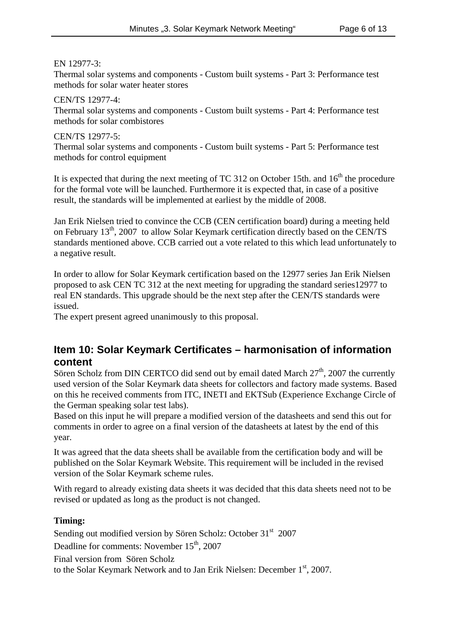EN 12977-3:

Thermal solar systems and components - Custom built systems - Part 3: Performance test methods for solar water heater stores

CEN/TS 12977-4: Thermal solar systems and components - Custom built systems - Part 4: Performance test methods for solar combistores

CEN/TS 12977-5: Thermal solar systems and components - Custom built systems - Part 5: Performance test methods for control equipment

It is expected that during the next meeting of TC 312 on October 15th. and  $16<sup>th</sup>$  the procedure for the formal vote will be launched. Furthermore it is expected that, in case of a positive result, the standards will be implemented at earliest by the middle of 2008.

Jan Erik Nielsen tried to convince the CCB (CEN certification board) during a meeting held on February 13<sup>th</sup>, 2007 to allow Solar Keymark certification directly based on the CEN/TS standards mentioned above. CCB carried out a vote related to this which lead unfortunately to a negative result.

In order to allow for Solar Keymark certification based on the 12977 series Jan Erik Nielsen proposed to ask CEN TC 312 at the next meeting for upgrading the standard series12977 to real EN standards. This upgrade should be the next step after the CEN/TS standards were issued.

The expert present agreed unanimously to this proposal.

# **Item 10: Solar Keymark Certificates – harmonisation of information content**

Sören Scholz from DIN CERTCO did send out by email dated March 27<sup>th</sup>, 2007 the currently used version of the Solar Keymark data sheets for collectors and factory made systems. Based on this he received comments from ITC, INETI and EKTSub (Experience Exchange Circle of the German speaking solar test labs).

Based on this input he will prepare a modified version of the datasheets and send this out for comments in order to agree on a final version of the datasheets at latest by the end of this year.

It was agreed that the data sheets shall be available from the certification body and will be published on the Solar Keymark Website. This requirement will be included in the revised version of the Solar Keymark scheme rules.

With regard to already existing data sheets it was decided that this data sheets need not to be revised or updated as long as the product is not changed.

#### **Timing:**

Sending out modified version by Sören Scholz: October 31<sup>st</sup> 2007 Deadline for comments: November 15<sup>th</sup>, 2007 Final version from Sören Scholz to the Solar Keymark Network and to Jan Erik Nielsen: December 1st, 2007.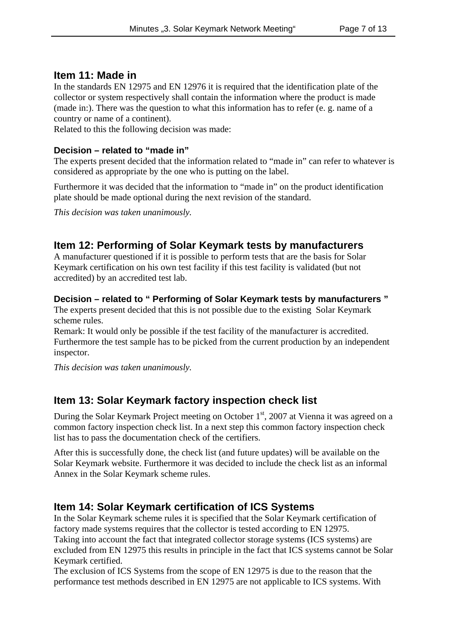## **Item 11: Made in**

In the standards EN 12975 and EN 12976 it is required that the identification plate of the collector or system respectively shall contain the information where the product is made (made in:). There was the question to what this information has to refer (e. g. name of a country or name of a continent).

Related to this the following decision was made:

#### **Decision – related to "made in"**

The experts present decided that the information related to "made in" can refer to whatever is considered as appropriate by the one who is putting on the label.

Furthermore it was decided that the information to "made in" on the product identification plate should be made optional during the next revision of the standard.

*This decision was taken unanimously.*

# **Item 12: Performing of Solar Keymark tests by manufacturers**

A manufacturer questioned if it is possible to perform tests that are the basis for Solar Keymark certification on his own test facility if this test facility is validated (but not accredited) by an accredited test lab.

#### **Decision – related to " Performing of Solar Keymark tests by manufacturers "**

The experts present decided that this is not possible due to the existing Solar Keymark scheme rules.

Remark: It would only be possible if the test facility of the manufacturer is accredited. Furthermore the test sample has to be picked from the current production by an independent inspector.

*This decision was taken unanimously.*

# **Item 13: Solar Keymark factory inspection check list**

During the Solar Keymark Project meeting on October 1<sup>st</sup>, 2007 at Vienna it was agreed on a common factory inspection check list. In a next step this common factory inspection check list has to pass the documentation check of the certifiers.

After this is successfully done, the check list (and future updates) will be available on the Solar Keymark website. Furthermore it was decided to include the check list as an informal Annex in the Solar Keymark scheme rules.

# **Item 14: Solar Keymark certification of ICS Systems**

In the Solar Keymark scheme rules it is specified that the Solar Keymark certification of factory made systems requires that the collector is tested according to EN 12975. Taking into account the fact that integrated collector storage systems (ICS systems) are excluded from EN 12975 this results in principle in the fact that ICS systems cannot be Solar Keymark certified.

The exclusion of ICS Systems from the scope of EN 12975 is due to the reason that the performance test methods described in EN 12975 are not applicable to ICS systems. With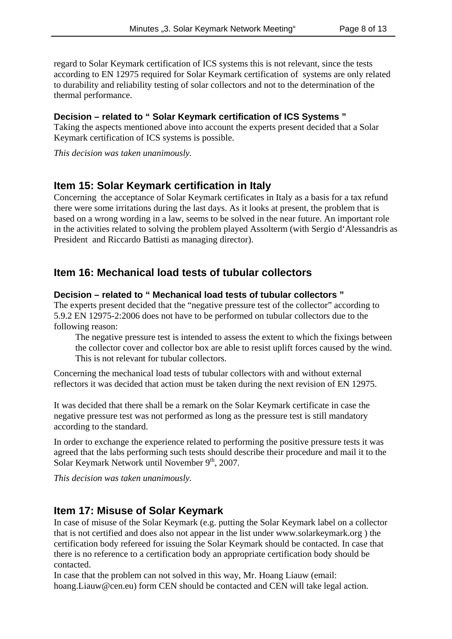regard to Solar Keymark certification of ICS systems this is not relevant, since the tests according to EN 12975 required for Solar Keymark certification of systems are only related to durability and reliability testing of solar collectors and not to the determination of the thermal performance.

#### **Decision – related to " Solar Keymark certification of ICS Systems "**

Taking the aspects mentioned above into account the experts present decided that a Solar Keymark certification of ICS systems is possible.

*This decision was taken unanimously.*

## **Item 15: Solar Keymark certification in Italy**

Concerning the acceptance of Solar Keymark certificates in Italy as a basis for a tax refund there were some irritations during the last days. As it looks at present, the problem that is based on a wrong wording in a law, seems to be solved in the near future. An important role in the activities related to solving the problem played Assolterm (with Sergio d'Alessandris as President and Riccardo Battisti as managing director).

## **Item 16: Mechanical load tests of tubular collectors**

#### **Decision – related to " Mechanical load tests of tubular collectors "**

The experts present decided that the "negative pressure test of the collector" according to 5.9.2 EN 12975-2:2006 does not have to be performed on tubular collectors due to the following reason:

The negative pressure test is intended to assess the extent to which the fixings between the collector cover and collector box are able to resist uplift forces caused by the wind. This is not relevant for tubular collectors.

Concerning the mechanical load tests of tubular collectors with and without external reflectors it was decided that action must be taken during the next revision of EN 12975.

It was decided that there shall be a remark on the Solar Keymark certificate in case the negative pressure test was not performed as long as the pressure test is still mandatory according to the standard.

In order to exchange the experience related to performing the positive pressure tests it was agreed that the labs performing such tests should describe their procedure and mail it to the Solar Keymark Network until November  $9<sup>th</sup>$ , 2007.

*This decision was taken unanimously.*

### **Item 17: Misuse of Solar Keymark**

In case of misuse of the Solar Keymark (e.g. putting the Solar Keymark label on a collector that is not certified and does also not appear in the list under www.solarkeymark.org ) the certification body refereed for issuing the Solar Keymark should be contacted. In case that there is no reference to a certification body an appropriate certification body should be contacted.

In case that the problem can not solved in this way, Mr. Hoang Liauw (email: hoang.Liauw@cen.eu) form CEN should be contacted and CEN will take legal action.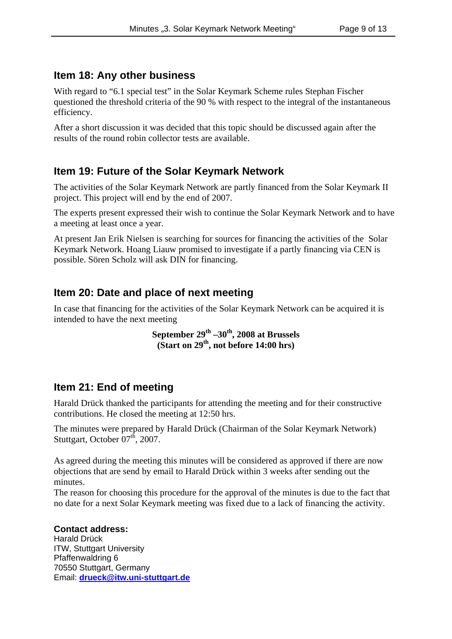# **Item 18: Any other business**

With regard to "6.1 special test" in the Solar Keymark Scheme rules Stephan Fischer questioned the threshold criteria of the 90 % with respect to the integral of the instantaneous efficiency.

After a short discussion it was decided that this topic should be discussed again after the results of the round robin collector tests are available.

# **Item 19: Future of the Solar Keymark Network**

The activities of the Solar Keymark Network are partly financed from the Solar Keymark II project. This project will end by the end of 2007.

The experts present expressed their wish to continue the Solar Keymark Network and to have a meeting at least once a year.

At present Jan Erik Nielsen is searching for sources for financing the activities of the Solar Keymark Network. Hoang Liauw promised to investigate if a partly financing via CEN is possible. Sören Scholz will ask DIN for financing.

# **Item 20: Date and place of next meeting**

In case that financing for the activities of the Solar Keymark Network can be acquired it is intended to have the next meeting

> September 29<sup>th</sup> –30<sup>th</sup>, 2008 at Brussels **(Start on 29th, not before 14:00 hrs)**

# **Item 21: End of meeting**

Harald Drück thanked the participants for attending the meeting and for their constructive contributions. He closed the meeting at 12:50 hrs.

The minutes were prepared by Harald Drück (Chairman of the Solar Keymark Network) Stuttgart, October 07<sup>th</sup>, 2007.

As agreed during the meeting this minutes will be considered as approved if there are now objections that are send by email to Harald Drück within 3 weeks after sending out the minutes.

The reason for choosing this procedure for the approval of the minutes is due to the fact that no date for a next Solar Keymark meeting was fixed due to a lack of financing the activity.

**Contact address:** Harald Drück ITW, Stuttgart University Pfaffenwaldring 6 70550 Stuttgart, Germany Email: **drueck@itw.uni-stuttgart.de**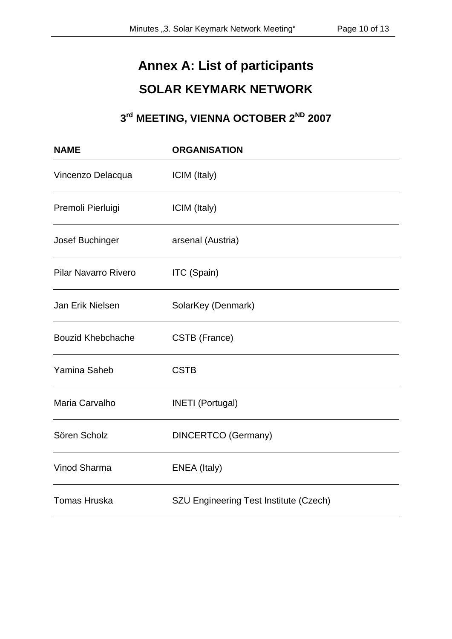# **Annex A: List of participants SOLAR KEYMARK NETWORK**

# **3rd MEETING, VIENNA OCTOBER 2ND 2007**

| <b>NAME</b>                 | <b>ORGANISATION</b>                    |
|-----------------------------|----------------------------------------|
| Vincenzo Delacqua           | ICIM (Italy)                           |
| Premoli Pierluigi           | ICIM (Italy)                           |
| Josef Buchinger             | arsenal (Austria)                      |
| <b>Pilar Navarro Rivero</b> | ITC (Spain)                            |
| Jan Erik Nielsen            | SolarKey (Denmark)                     |
| <b>Bouzid Khebchache</b>    | CSTB (France)                          |
| Yamina Saheb                | <b>CSTB</b>                            |
| Maria Carvalho              | <b>INETI</b> (Portugal)                |
| Sören Scholz                | <b>DINCERTCO</b> (Germany)             |
| Vinod Sharma                | ENEA (Italy)                           |
| <b>Tomas Hruska</b>         | SZU Engineering Test Institute (Czech) |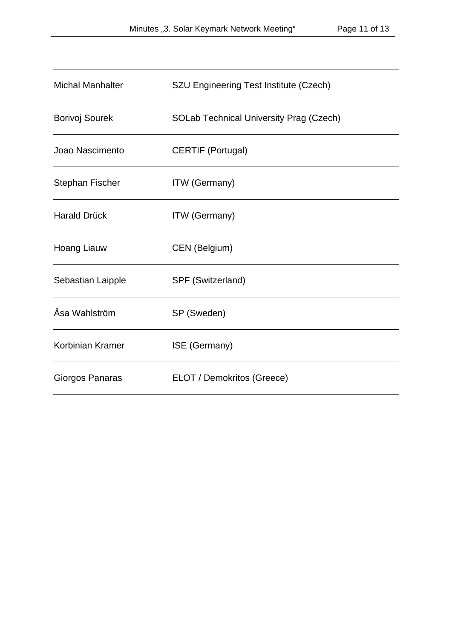| <b>Michal Manhalter</b> | SZU Engineering Test Institute (Czech)         |
|-------------------------|------------------------------------------------|
| <b>Borivoj Sourek</b>   | <b>SOLab Technical University Prag (Czech)</b> |
| Joao Nascimento         | <b>CERTIF (Portugal)</b>                       |
| <b>Stephan Fischer</b>  | <b>ITW</b> (Germany)                           |
| <b>Harald Drück</b>     | <b>ITW</b> (Germany)                           |
| <b>Hoang Liauw</b>      | CEN (Belgium)                                  |
| Sebastian Laipple       | SPF (Switzerland)                              |
| Åsa Wahlström           | SP (Sweden)                                    |
| Korbinian Kramer        | ISE (Germany)                                  |
| Giorgos Panaras         | ELOT / Demokritos (Greece)                     |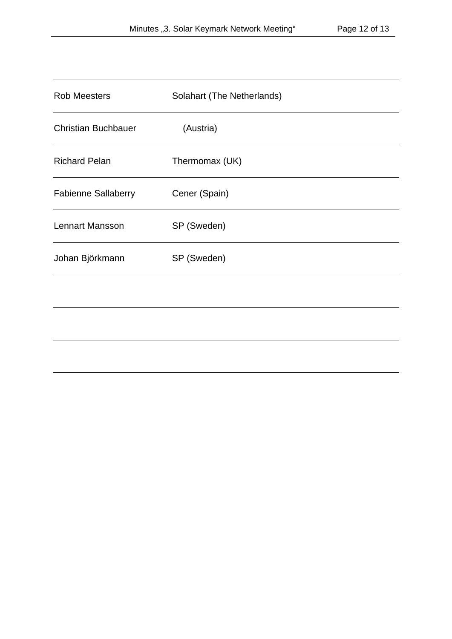| <b>Rob Meesters</b>        | Solahart (The Netherlands) |
|----------------------------|----------------------------|
| <b>Christian Buchbauer</b> | (Austria)                  |
| <b>Richard Pelan</b>       | Thermomax (UK)             |
| <b>Fabienne Sallaberry</b> | Cener (Spain)              |
| <b>Lennart Mansson</b>     | SP (Sweden)                |
| Johan Björkmann            | SP (Sweden)                |
|                            |                            |
|                            |                            |